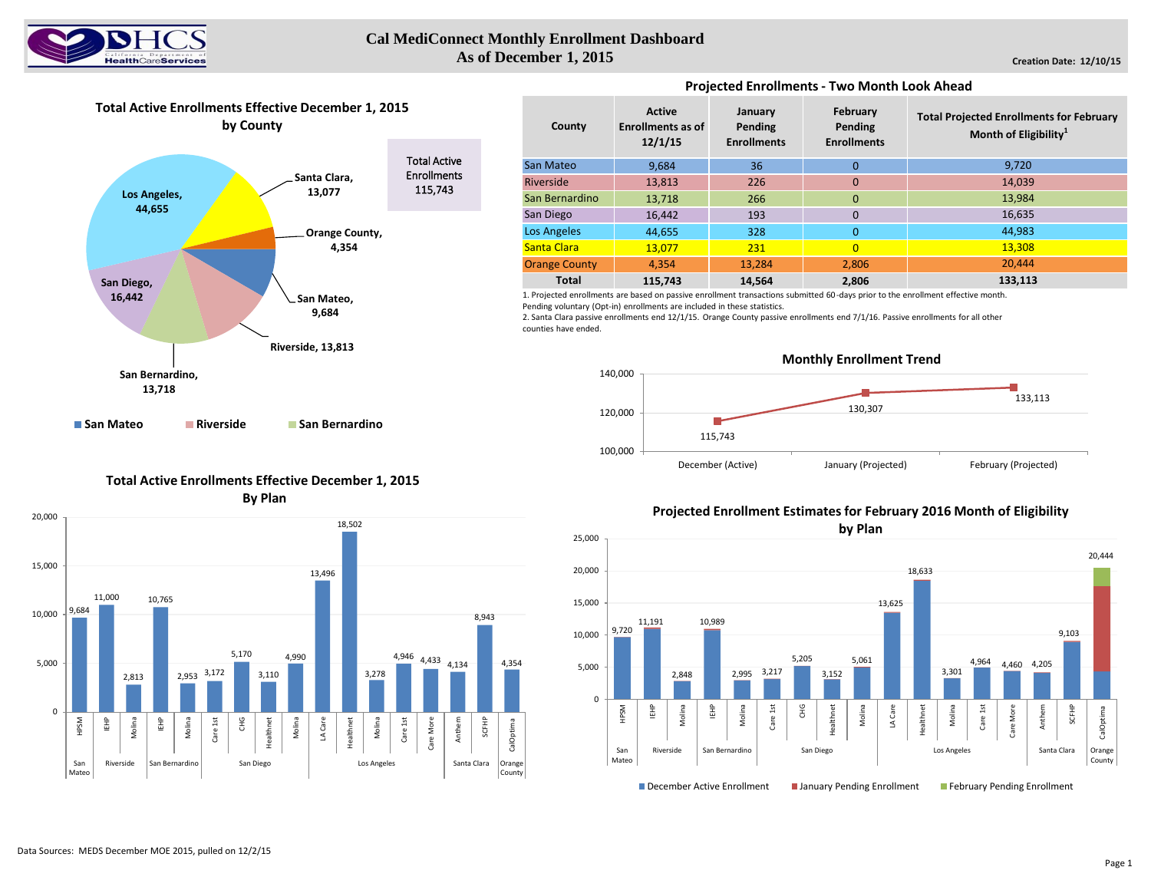

#### **Cal MediConnect Monthly Enrollment Dashboard As of December 1, 2015**

**Total Active Enrollments Effective December 1, 2015 by County**



**Projected Enrollments - Two Month Look Ahead** 

| County               | <b>Active</b><br><b>Enrollments as of</b><br>12/1/15 | January<br>Pending<br><b>Enrollments</b> | February<br>Pending<br><b>Enrollments</b> | <b>Total Projected Enrollments for February</b><br>Month of Eligibility <sup>1</sup> |  |  |  |  |
|----------------------|------------------------------------------------------|------------------------------------------|-------------------------------------------|--------------------------------------------------------------------------------------|--|--|--|--|
| San Mateo            | 9.684                                                | 36                                       | $\Omega$                                  | 9,720                                                                                |  |  |  |  |
| Riverside            | 13,813                                               | 226                                      | $\mathbf 0$                               | 14,039                                                                               |  |  |  |  |
| San Bernardino       | 13,718                                               | 266                                      | $\mathbf{0}$                              | 13,984                                                                               |  |  |  |  |
| San Diego            | 16,442                                               | 193                                      | $\overline{0}$                            | 16,635                                                                               |  |  |  |  |
| Los Angeles          | 44,655                                               | 328                                      | 0                                         | 44,983                                                                               |  |  |  |  |
| Santa Clara          | 13,077                                               | 231                                      | $\Omega$                                  | 13.308                                                                               |  |  |  |  |
| <b>Orange County</b> | 4.354                                                | 13,284                                   | 2.806                                     | 20.444                                                                               |  |  |  |  |
| <b>Total</b>         | 115.743                                              | 14,564                                   | 2,806                                     | 133,113                                                                              |  |  |  |  |

1. Projected enrollments are based on passive enrollment transactions submitted 60-days prior to the enrollment effective month. Pending voluntary (Opt-in) enrollments are included in these statistics.

2. Santa Clara passive enrollments end 12/1/15. Orange County passive enrollments end 7/1/16. Passive enrollments for all other counties have ended.



# **Total Active Enrollments Effective December 1, 2015**

**By Plan**



## **Projected Enrollment Estimates for February 2016 Month of Eligibility**

**by Plan**